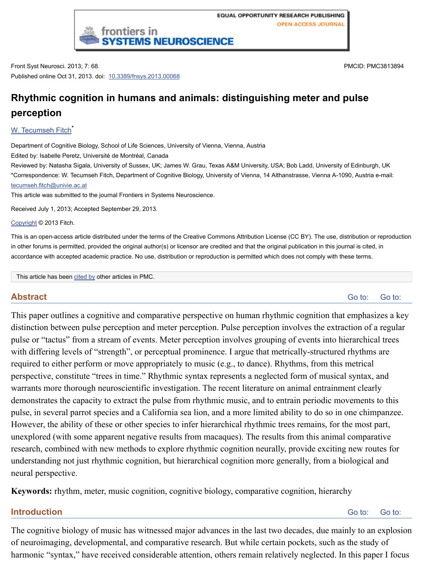W. Tecumseh Fitch<sup>\*</sup>

Department of Cognitive Biology, School of Life Sciences, University of Vienna, Vienna, Austria Edited by: Isabelle Peretz, Université de Montréal, Canada Reviewed by: Natasha Sigala, University of Sussex, UK; James W. Grau, Texas A&M University, USA; Bob Ladd, Universi \*Correspondence: W. Tecumseh Fitch, Department of Cognitive Biology, University of Vienna, 14 Althanstrasse, Vienna Atecumseh.fitch@univie.ac.at This article was submitted to the jou[rnal Frontiers in Systems N](http://dx.doi.org/10.3389%2Ffnsys.2013.00068)euroscience.

Received July 1, 2013; Accepted September 29, 2013.

Copyright © 2013 Fitch.

This is an open-access article distributed under the terms of the Creative Commons Attribution License (CC BY). The use, in other forums is permitted, provided the original author(s) or licensor are credited and that the original publication in this [accordance with accep](http://www.ncbi.nlm.nih.gov/pubmed/?term=Fitch%20WT%5Bauth%5D)ted academic practice. No use, distribution or reproduction is permitted which does not comply with

This article has been cited by other articles in PMC.

# **Abstract**

[This paper outlines a c](mailto:dev@null)ognitive and comparative perspective on human rhythmic cognition that distinction between pulse perception and meter perception. Pulse perception involves the extraction of a regular  $\alpha$ pulse or "tactus" from a stream of events. Meter perception involves grouping of events into [with dif](http://www.ncbi.nlm.nih.gov/pmc/about/copyright.html)fering levels of "strength", or perceptual prominence. I argue that metrically-structured rhythms are required to either perform or move appropriately to music (e.g., to dance). Rhythms, from th perspective, constitute "trees in time." Rhythmic syntax represents a neglected form of music warrants more thorough neuroscientific investigation. The recent literature on animal entrain demonstrates the [capacit](http://www.ncbi.nlm.nih.gov/pmc/articles/PMC3813894/citedby/)y to extract the pulse from rhythmic music, and to entrain periodic not pulse, in several parrot species and a California sea lion, and a more limited ability to do so in However, the ability of these or other species to infer hierarchical rhythmic trees remains, for unexplored (with some apparent negative results from macaques). The results from this anim research, combined with new methods to explore rhythmic cognition neurally, provide exciting new routes for  $n$ understanding not just rhythmic cognition, but hierarchical cognition more generally, from a neural perspective.

**Keywords:** rhythm, meter, music cognition, cognitive biology, comparative cognition, hierarchy

### **Introduction**

The cognitive biology of music has witnessed major advances in the last two decades, due m of neuroimaging, developmental, and comparative research. But while certain pockets, such harmonic "syntax," have received considerable attention, others remain relatively neglected.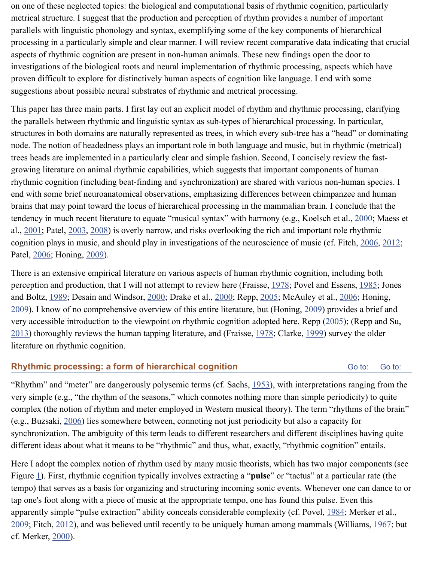the parallels between rhythmic and linguistic syntax as sub-types of hierarchical processing. In particular, structures in both domains are naturally represented as trees, in which every sub-tree has a "lead" node. The notion of headedness plays an important role in both language and music, but in rh trees heads are implemented in a particularly clear and simple fashion. Second, I concisely re growing literature on animal rhythmic capabilities, which suggests that important components rhythmic cognition (including beat-finding and synchronization) are shared with various nonend with some brief neuroanatomical observations, emphasizing differences between chimpa brains that may point toward the locus of hierarchical processing in the mammalian brain. I conclude that the that the that the that the mammalian brain. I tendency in much recent literature to equate "musical syntax" with harmony (e.g., Koelsch et al., 2000; Maess et al., 2000; Maess et al., 2000; Maess et al., 2000; Maess et al., 2000; Maess et al., 2000; Maess et al., 2000 al.,  $2001$ ; Patel,  $2003$ ,  $2008$ ) is overly narrow, and risks overlooking the rich and important r cognition plays in music, and should play in investigations of the neuroscience of music (cf. Patel, 2006; Honing, 2009).

There is an extensive empirical literature on various aspects of human rhythmic cognition, in perception and production, that I will not attempt to review here (Fraisse,  $1978$ ; Povel and E and Boltz, 1989; Desain and Windsor, 2000; Drake et al., 2000; Repp, 2005; McAuley et al.,  $2009$ ). I know of no comprehensive overview of this entire literature, but (Honing,  $2009$ ) provides and very accessible introduction to the viewpoint on rhythmic cognition adopted here. Repp  $(200)$  $2013$ ) thoroughly reviews the human tapping literature, and (Fraisse,  $1978$ ; Clarke,  $1999$ ) sur literature on rhythmic cognition.

# **Rhythmic processing: a form of hierarchical cognition**

"Rhyt[hm" a](http://www.ncbi.nlm.nih.gov/pmc/articles/PMC3813894/#B98)nd "mete[r" are](http://www.ncbi.nlm.nih.gov/pmc/articles/PMC3813894/#B58) dangerously polysemic terms (cf. Sachs, 1953), with interpretations very simple (e.g., "the rhythm of the seasons," which connotes nothing more than simple per complex (the notion of rhythm and meter employed in Western musical t[heory\)](http://www.ncbi.nlm.nih.gov/pmc/articles/PMC3813894/#B35). The term "ri (e.g., Buzs[aki, 2](http://www.ncbi.nlm.nih.gov/pmc/articles/PMC3813894/#B67)006) lies somewhere [betwee](http://www.ncbi.nlm.nih.gov/pmc/articles/PMC3813894/#B19)n, connoting [not ju](http://www.ncbi.nlm.nih.gov/pmc/articles/PMC3813894/#B23)st peri[odicity](http://www.ncbi.nlm.nih.gov/pmc/articles/PMC3813894/#B110) but also a capad [synch](http://www.ncbi.nlm.nih.gov/pmc/articles/PMC3813894/#B58)ronization. The ambiguity of this term leads to different researchers and diffe[rent d](http://www.ncbi.nlm.nih.gov/pmc/articles/PMC3813894/#B58)isciplines having quite a having quite and the set of the ambiguity of this term leads to different researchers and different discip different ideas about what it means to be "rhythmic" and thus, what, exactly, "rhythmic cogni

[Here](http://www.ncbi.nlm.nih.gov/pmc/articles/PMC3813894/#B111) I adopt the complex notion of rhythm used by many music theo[rists,](http://www.ncbi.nlm.nih.gov/pmc/articles/PMC3813894/#B35) which h[as two](http://www.ncbi.nlm.nih.gov/pmc/articles/PMC3813894/#B10) ma Figure 1). First, rhythmic cognition typically involves extracting a "**pulse**" or "tactus" at a particular rate (the ftermion rate (the ftermion rate (the ftermion rate ftermion rate (the ftermion rate of the ftermion rate tempo) that serves as a basis for organizing and structuring incoming sonic events. Whenever tap one's foot along with a piece of music at the appropriate tempo, one has found this pulse. apparently simple "pulse extraction" ability conceals considerable c[omple](http://www.ncbi.nlm.nih.gov/pmc/articles/PMC3813894/#B114)xity (cf. Povel, 1984; Merker et al.,  $2009$ ; Fitch,  $2012$ ), and was believed until recently to be uniquely human among mammals ( cf. Merker, 2000).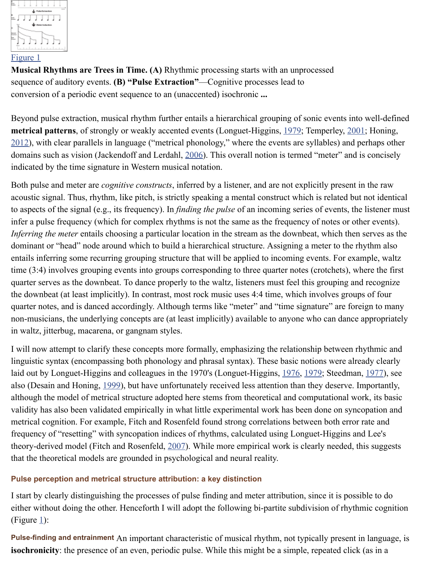**[metrical patter](http://www.ncbi.nlm.nih.gov/pmc/articles/PMC3813894/figure/F1/)ns**, of strongly or weakly accented events (Longuet-Higgins, 1979; Temperle  $2012$ ), with clear parallels in language ("metrical phonology," where the events are syllables domains such as vision (Jackendoff and Lerdahl, 2006). This overall notion is termed "meter indicated by the time signature in Western musical notation.

[Both pul](http://www.ncbi.nlm.nih.gov/pmc/articles/PMC3813894/figure/F1/)se and meter are *cognitive constructs*, inferred by a listener, and are not explicitly presented in the raw acoustic signal. Thus, rhythm, like pitch, is strictly speaking a mental construct which is related but not identical. to aspects of the signal (e.g., its frequency). In *finding the pulse* of an incoming series of eve infer a pulse frequency (which for complex rhythms is not the same as the frequency of note *Inferring the meter* entails choosing a particular location in the stream as the downbeat, which dominant or "head" node around which to build a hierarchical structure. Assigning a meter to entails inferring some recurring grouping structure that will be applied to inc[oming](http://www.ncbi.nlm.nih.gov/pmc/articles/PMC3813894/#B82) events. For [exam](http://www.ncbi.nlm.nih.gov/pmc/articles/PMC3813894/#B129)ple, waltz [time](http://www.ncbi.nlm.nih.gov/pmc/articles/PMC3813894/#B59)  $(3:4)$  involves grouping events into groups corresponding to three quarter notes (crotchets) quarter serves as the downbeat. To dance properl[y to th](http://www.ncbi.nlm.nih.gov/pmc/articles/PMC3813894/#B63)e waltz, listeners must feel this group the downbeat (at least implicitly). In contrast, most rock music uses 4:4 time, which involves quarter notes, and is danced accordingly. Although terms like "meter" and "time signature" are non-musicians, the underlying concepts are (at least implicitly) available to anyone who can in waltz, jitterbug, macarena, or gangnam styles.

I will now attempt to clarify these concepts more formally, emphasizing the relationship bety linguistic syntax (encompassing both phonology and phrasal syntax). These basic notions we laid out by Longuet-Higgins and colleagues in the 1970's (Longuet-Higgins, 1976, 1979; Ste also (Desain and Honing, 1999), but have unfortunately received less attention than they des although the model of metrical structure adopted here stems from theoretical and computational validity has also been validated empirically in what little experimental work has been done on metrical cognition. For example, Fitch and Rosenfeld found strong correlations between both frequency of "resetting" with syncopation indices of rhythms, calculated using Longuet-Higg theory-derived model (Fitch and Rosenfeld, 2007). While more empirical work is clearly need that the theoretical models are grounded in psychological and neural reality.

### **Pulse perception and metrical structure attribution: a key distinction**

I start by clearly distinguishing the processes of pulse finding and meter attri[bution](http://www.ncbi.nlm.nih.gov/pmc/articles/PMC3813894/#B81)[, sinc](http://www.ncbi.nlm.nih.gov/pmc/articles/PMC3813894/#B82)e it is either without doing the o[ther. H](http://www.ncbi.nlm.nih.gov/pmc/articles/PMC3813894/#B18)enceforth I will adopt the following bi-partite subdivision of (Figure  $1$ ):

Pulse-finding and entrainment An important characteristic of musical rhythm, not typically pr **isochronicity**: the presence of an even, periodic pulse. While this might be a simple, repeate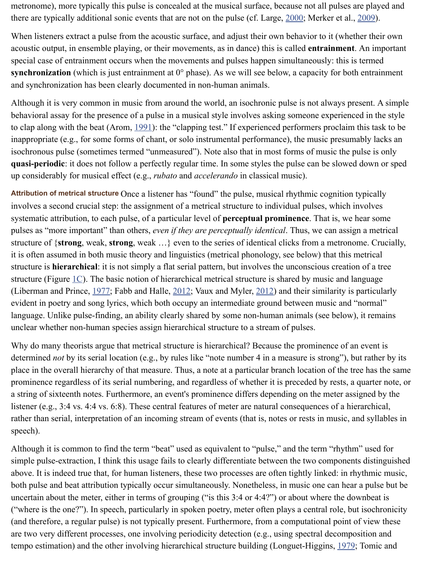to clap along with the beat (Arom,  $1991$ ): the "clapping test." If experienced performers proc inappropriate (e.g., for some forms of chant, or solo instrumental performanc[e\), the](http://www.ncbi.nlm.nih.gov/pmc/articles/PMC3813894/#B75) music pr isochronous pulse (sometimes termed "unmeasured"). Note also that in most forms of music **quasi-periodic**: it does not follow a perfectly regular time. In some styles the pulse can be sl up considerably for musical effect (e.g., *rubato* and *accelerando* in classical music).

Attribution of metrical structure Once a listener has "found" the pulse, musical rhythmic cogni involves a second crucial step: the assignment of a metrical structure to individual pulses, which involves systematic attribution, to each pulse, of a particular level of **perceptual prominence**. That is pulses as "more important" than others, *even if they are perceptually identical*. Thus, we can structure of {**strong**, weak, **strong**, weak  $\ldots$ } even to the series of identical clicks from a me it is often assumed in both music t[heory](http://www.ncbi.nlm.nih.gov/pmc/articles/PMC3813894/#B3) and linguistics (metrical phonology, see below) that structure is **hierarchical**: it is not simply a flat serial pattern, but involves the unconscious cr structure (Figure  $1C$ ). The basic notion of hierarchical metrical structure is shared by music and (Liberman and Prince,  $1977$ ; Fabb and Halle,  $2012$ ; Vaux and Myler,  $2012$ ) and their similar evident in poetry and song lyrics, which both occupy an intermediate ground between music language. Unlike pulse-finding, an ability clearly shared by some non-human animals (see be unclear whether non-human species assign hierarchical structure to a stream of pulses.

Why do many theorists argue that metrical structure is hierarchical? Because the prominence determined *not* by its serial location (e.g., by rules like "note number 4 in a measure is strong place in the overall hierarchy of that measure. Thus, a note at a particular branch location of prominence regardless of its serial numbering, and regardless of whether it is preceded by re a string of sixteenth notes. Furthermore, an event's prominence differs depending on the met listener (e.g.,  $3:4$  [vs.](http://www.ncbi.nlm.nih.gov/pmc/articles/PMC3813894/figure/F1/)  $4:4$  vs.  $6:8$ ). These central features of meter are natural consequences of rather than serial, inter[pretat](http://www.ncbi.nlm.nih.gov/pmc/articles/PMC3813894/#B80)ion of an incomi[ng stre](http://www.ncbi.nlm.nih.gov/pmc/articles/PMC3813894/#B27)am of events (tha[t is, no](http://www.ncbi.nlm.nih.gov/pmc/articles/PMC3813894/#B135)tes or rests in mu speech).

Although it is common to find the term "beat" used as equivalent to "pulse," and the term "ri simple pulse-extraction, I think this usage fails to clearly differentiate between the two comp above. It is indeed true that, for human listeners, these two processes are often tightly linked both pulse and beat attribution typically occur simultaneously. Nonetheless, in music one can uncertain about the meter, either in terms of grouping ("is this 3:4 or 4:4?") or about where the down ("where is the one?"). In speech, particularly in spoken poetry, meter often plays a central ro (and therefore, a regular pulse) is not typically present. Furthermore, from a computational p are two very different processes, one involving periodicity detection (e.g., using spectral dec tempo estimation) and the other involving hierarchical structure building (Longuet-Higgins,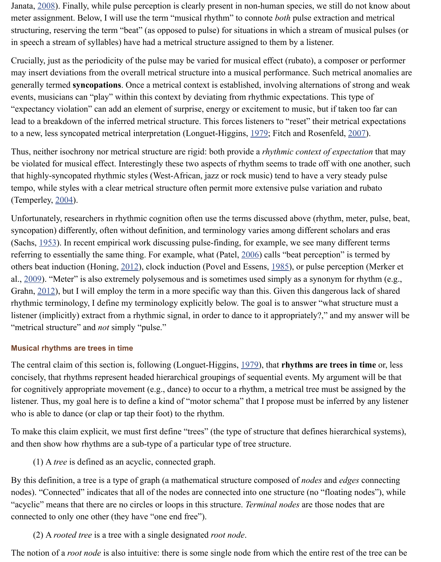to a ne[w, less](http://www.ncbi.nlm.nih.gov/pmc/articles/PMC3813894/#B132) syncopated metrical interpretation (Longuet-Higgins, 1979; Fitch and Rosenfe

Thus, neither isochrony nor metrical structure are rigid: both provide a *rhythmic context of examples*. be violated for musical effect. Interestingly these two aspects of rhythm seems to trade off w that highly-syncopated rhythmic styles (West-African, jazz or rock music) tend to have a ver tempo, while styles with a clear metrical structure often permit more extensive pulse variation (Temperley, 2004).

Unfortunately, researchers in rhythmic cognition often use the terms discussed above (rhythr syncopation) differently, often without definition, and terminology varies among different sc (Sachs,  $1953$ ). In recent empirical work discussing pulse-finding, for example, we see many referring to essentially the same thing. For example, what (Patel, 2[006\) ca](http://www.ncbi.nlm.nih.gov/pmc/articles/PMC3813894/#B82)lls "beat perception" others beat induction (Honing, 2012), clock induction (Povel and Essens, 1985), or pulse per al., 2009). "Meter" is also extremely polysemous and is sometimes used simply as a synonym Grahn,  $2012$ ), but I will employ the term in a more specific way than this. Given this danger rhythmic terminology, I define my terminology explicitly below. The goal is to answer "what listener (implicitly) extract from a rhythmic signal, in order to dance to it appropriately?," and "metrical str[ucture](http://www.ncbi.nlm.nih.gov/pmc/articles/PMC3813894/#B130)" and *not* simply "pulse."

#### **Musical rhythms are trees in time**

The ce[ntral c](http://www.ncbi.nlm.nih.gov/pmc/articles/PMC3813894/#B114)laim of this section is, following (Longuet-Higgins, 1979), that **rhythms are tr** concisely, that rhythms represent headed hierarchical groupings [of sequ](http://www.ncbi.nlm.nih.gov/pmc/articles/PMC3813894/#B98)ential events. My arg for cognitively appropriate mo[vemen](http://www.ncbi.nlm.nih.gov/pmc/articles/PMC3813894/#B59)t (e.g., dance) to occur to a rhythm, [a metr](http://www.ncbi.nlm.nih.gov/pmc/articles/PMC3813894/#B107)ical tree must list[ener. T](http://www.ncbi.nlm.nih.gov/pmc/articles/PMC3813894/#B93)hus, my goal here is to define a kind of "motor schema" that I propose must be inferwho is [able t](http://www.ncbi.nlm.nih.gov/pmc/articles/PMC3813894/#B44)o dance (or clap or tap their foot) to the rhythm.

To make this claim explicit, we must first define "trees" (the type of structure that defines higherarchical systems), and then show how rhythms are a sub-type of a particular type of tree structure.

(1) A *tree* is defined as an acyclic, connected graph.

By this definition, a tree is a type of graph (a mathematical structure composed of *nodes* and nodes). "Connected" indicates that all of the nodes are connected [into o](http://www.ncbi.nlm.nih.gov/pmc/articles/PMC3813894/#B82)ne structure (no "floating"), modes are connected into one structure (no "acyclic" means that there are no circles or loops in this structure. *Terminal nodes* are those no connected to only one other (they have "one end free").

(2) A *rooted tree* is a tree with a single designated *root node*.

The notion of a *root node* is also intuitive: there is some single node from which the entire re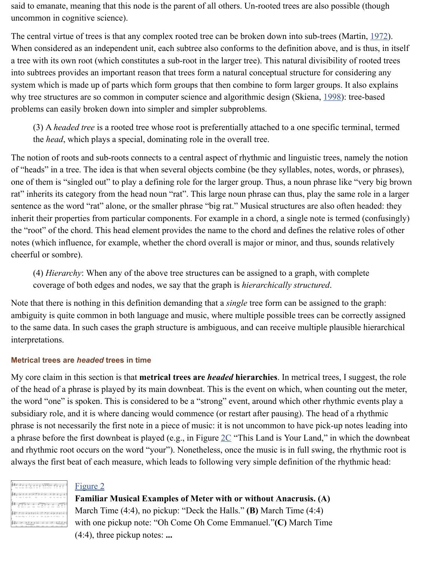(3) A *headed tree* is a rooted tree whose root is preferentially attached to a one specific the *head*, which plays a special, dominating role in the overall tree.

The notion of roots and sub-roots connects to a central aspect of rhythmic and linguistic tree of "heads" in a tree. The idea is that when several objects combine (be they syllables, notes, one of them is "singled out" to play a defining role for the larger group. Thus, a noun phrase rat" inherits its category from the head noun "rat". This large noun phrase can thus, play the sentence as the word "rat" alone, or the smaller phrase "big rat." Musical structures are also inherit their properties from particular components. For example in a chord, a single note is to the "root" of the chord. This head element provides the name to the chord and defines the rel notes (which influence, for example, whether the chord overall is major or minor, and thus, so cheerful or sombre).

(4) *Hierarchy*: When any of the above tree structures can be assigned to a graph, with coverage of both edges and nodes, we say that the graph is *hierarchically structured*.

Note that there is nothing in this definition demanding that a *single* tree form can be assigned ambiguity is quite common in both language and music, where multiple possible trees can be to the same data. In such cases the graph structure is ambiguous, and can receive multiple plate interpretations.

#### **Metrical trees are** *headed* **trees in time**

My core claim in this section is that **metrical trees are** *headed* hierarchies. In metrical trees of the head of a phrase is played by its main downbeat. This is the event on which, when counting out the meter, when  $\alpha$ the word "one" is spoken. This is considered to be a "strong" event, around which other rhyt subsidiary role, and it is where dancing would commence (or restart after pausing). The head phrase is not necessarily the first note in a piece of music: it is not uncommon to have pick-up notes in  $\alpha$ a phrase before the first downbeat is played (e.g., in Figure  $2C$  "This Land is Your Land," in and rhythmic root occurs on the word "your"). Nonetheless, once the music is in full swing, always the first beat of each measure, which leads to following very simple definition of the

| NO. IN SAL 100   |  | NAME OF GROOM | والاستحدار دوازوها                             | $-11.5$    | $\sim$ |
|------------------|--|---------------|------------------------------------------------|------------|--------|
| 21 now 21 now 24 |  | $5 + 12$      | -----                                          |            |        |
|                  |  |               | The hold is possed body. The hold is one final | line in in |        |
|                  |  |               | i nin Aintel A. II nin Aintel A                |            |        |
|                  |  |               |                                                |            |        |

### Figure 2

**Familiar Musical Examples of Meter with or without Anacrusis. (A)** March Time (4:4), no pickup: "Deck the Halls." **(B)** March Time (4:4) with one pickup note: "Oh Come Oh Come Emmanuel."**(C)** March Time (4:4), three pickup notes: **...**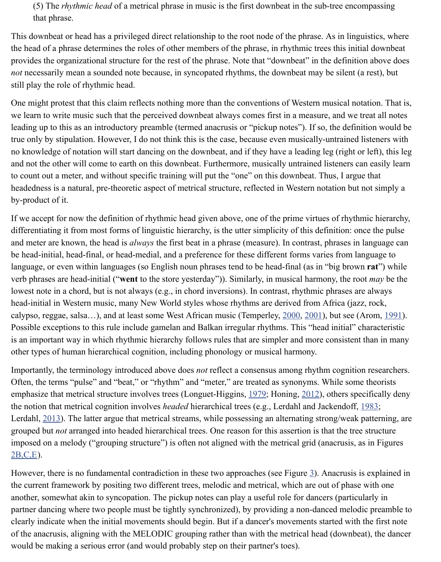leading up to this as an introductory preamble (termed anacrusis or "pickup notes"). If so, the true only by stipulation. However, I do not think this is the case, because even musically-unt no knowledge of notation will start dancing on the downbeat, and if they have a leading leg (right), the left or left or left or left or left or left or left or left or left or left or left or left or left or left or left and not the other will come to earth on this downbeat. Furthermore, musically untrained listeners can easily learn to count out a meter, and without specific training will put the "one" on this downbeat. Thus, headedness is a natural, pre-theoretic aspect of metrical structure, reflected in Western notation by-product of it.

If we accept for now the definition of rhythmic head given above, one of the prime virtues of differentiating it from most forms of linguistic hierarchy, is the utter simplicity of this definition. and meter are known, the head is *always* the first beat in a phrase (measure). In contrast, phrases in a phrases in language cannot all  $\alpha$ be head-initial, head-final, or head-medial, and a preference for these different forms varies from language, or even within languages (so English noun phrases tend to be head-final (as in "big verb phrases are head-initial ("**went** to the store yesterday")). Similarly, in musical harmony, lowest note in a chord, but is not always (e.g., in chord inversions). In contrast, rhythmic phr head-initial in Western music, many New World styles whose rhythms are derived from Afri calypso, reggae, salsa…), and at least some West African music (Temperley, 2000, 2001), but Possible exceptions to this rule include gamelan and Balkan irregular rhythms. This "head in is an important way in which rhythmic hierarchy follows rules that are simpler and more constant than in many  $\alpha$ other types of human hierarchical cognition, including phonology or musical harmony.

Importantly, the terminology introduced above does *not* reflect a consensus among rhythm conservation Often, the terms "pulse" and "beat," or "rhythm" and "meter," are treated as synonyms. While emphasize that metrical structure involves trees (Longuet-Higgins, 1979; Honing, 2012), oth the notion that metrical cognition involves *headed* hierarchical trees (e.g., Lerdahl and Jackendoff, 1983; 1983; 1983; 1983; 1983; 1983; 1983; 1983; 1983; 1983; 1983; 1983; 1983; 1983; 1983; 1983; 1983; 1983; 1983; 1983; Lerdahl,  $2013$ ). The latter argue that metrical streams, while possessing an alternating strong grouped but *not* arranged into headed hierarchical trees. One reason for this assertion is that imposed on a melody ("grouping structure") is often not aligned with the me[trical](http://www.ncbi.nlm.nih.gov/pmc/articles/PMC3813894/#B128) [grid \(a](http://www.ncbi.nlm.nih.gov/pmc/articles/PMC3813894/#B129)nac 2B,C,E).

However, there is no fundamental contradiction in these two approaches (see Figure  $\frac{3}{2}$ ). Anam the current framework by positing two different trees, melodic and metrical, which are out of another, somewhat akin to syncopation. The pickup notes can play a useful role for dancers (particularly in the partner dancing where two people must be tightly synchronized), by providing a non-danced clearly indicate when the initial movements should begin. But if a [dancer](http://www.ncbi.nlm.nih.gov/pmc/articles/PMC3813894/#B82)'s move[ments s](http://www.ncbi.nlm.nih.gov/pmc/articles/PMC3813894/#B59)tarted with the first note of the anacrusis, aligning with the MELODIC grouping rather than with the metrical head (d would b[e mak](http://www.ncbi.nlm.nih.gov/pmc/articles/PMC3813894/#B76)ing a serious error (and would probably step on their partner's toes).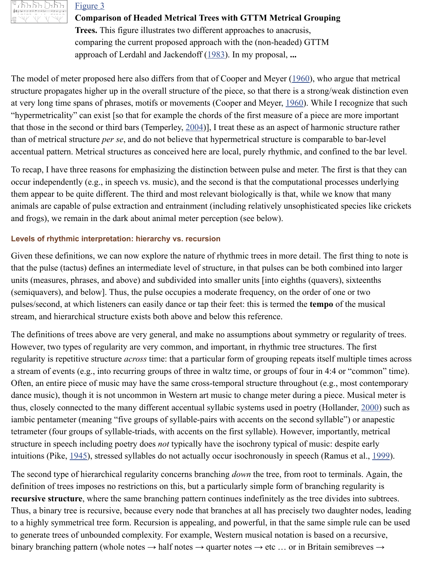that those in the s[econd or](http://www.ncbi.nlm.nih.gov/pmc/articles/PMC3813894/figure/F3/) third bars (Temperley,  $2004$ ), I treat these as an aspect of harmon [than of metrical](http://www.ncbi.nlm.nih.gov/pmc/articles/PMC3813894/figure/F3/) structure *per se*, and do not believe that hypermetrical structure is comparab accentual pattern. Metrical structures as conceived here are local, purely rhythmic, and confi

To recap, I have three reasons for emphasizing the distinction between pulse and meter. The occur independently (e.g., in speech vs. music), and the [secon](http://www.ncbi.nlm.nih.gov/pmc/articles/PMC3813894/#B77)d is that the computational prothem appear to be quite different. The third and most relevant biologically is that, while we k animals are capable of pulse extraction and entrainment (including relatively u[nsophi](http://www.ncbi.nlm.nih.gov/pmc/articles/PMC3813894/#B13)sticated and frogs), we remain in the dark about animal meter perception (see below).

#### **Levels of rhythmic interpretation: hierarchy vs. recursion**

Given these definitions, we can now explore the [nature](http://www.ncbi.nlm.nih.gov/pmc/articles/PMC3813894/#B130) of rhythmic trees in more detail. The that the pulse (tactus) defines an intermediate level of structure, in that pulses can be both combined into larger into larger into larger into larger into larger into larger into larger into larger into larger into large units (measures, phrases, and above) and subdivided into smaller units [into eighths (quavers (semiquavers), and below]. Thus, the pulse occupies a moderate frequency, on the order of o pulses/second, at which listeners can easily dance or tap their feet: this is termed the **tempo** of stream, and hierarchical structure exists both above and below this reference.

The definitions of trees above are very general, and make no assumptions about symmetry or However, two types of regularity are very common, and important, in rhythmic tree structure. regularity is repetitive structure *across* time: that a particular form of grouping repeats itself a stream of events (e.g., into recurring groups of three in waltz time, or groups of four in 4:4 Often, an entire piece of music may have the same cross-temporal structure throughout (e.g., dance music), though it is not uncommon in Western art music to change meter during a piece. thus, closely connected to the many different accentual syllabic systems used in poetry (Holl iambic pentameter (meaning "five groups of syllable-pairs with accents on the second syllab tetrameter (four groups of syllable-triads, with accents on the first syllable). However, import structure in speech including poetry does *not* typically have the isochrony typical of music: despite the spite early intuitions (Pike, 1945), stressed syllables do not actually occur isochronously in speech (Ran

The second type of hierarchical regularity concerns branching *down* the tree, from root to term definition of trees imposes no restrictions on this, but a particularly simple form of branching **recursive structure**, where the same branching pattern continues indefinitely as the tree divides into subtrees. Thus, a binary tree is recursive, because every node that branches at all has precisely two daughter  $\alpha$ to a highly symmetrical tree form. Recursion is appealing, and powerful, in that the same sin to generate trees of unbounded complexity. For example, Western musical notation is based binary branching pattern (whole notes  $\rightarrow$  half notes  $\rightarrow$  quarter notes  $\rightarrow$  etc ... or in Britain s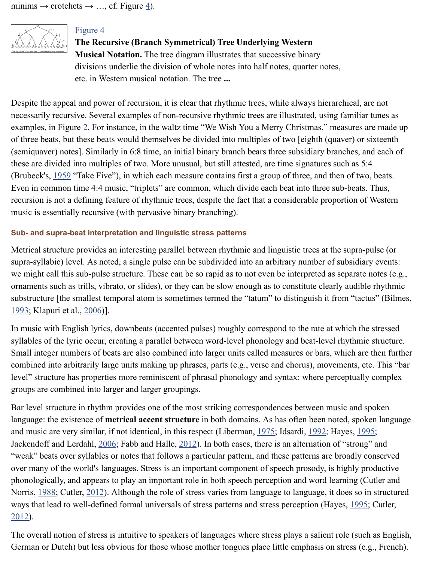examples, in Figure 2. For instance, i[n t](http://www.ncbi.nlm.nih.gov/pmc/articles/PMC3813894/figure/F4/)he waltz time "We Wish You a Merry Christmas," m of three beats, but these beats would themselves be divided into multiples of two [eighth (qu (semiquaver) note[s\]. Simil](http://www.ncbi.nlm.nih.gov/pmc/articles/PMC3813894/figure/F4/)arly in 6:8 time, an initial binary branch bears three subsidiary bra [these are divided](http://www.ncbi.nlm.nih.gov/pmc/articles/PMC3813894/figure/F4/) into multiples of two. More unusual, but still attested, are time signatures s (Brubeck's, 1959 "Take Five"), in which each measure contains first a group of three, and then Even in common time 4:4 music, "triplets" are common, which divide each beat into three subrecursion is not a defining feature of rhythmic trees, despite the fact that a considerable prop music is essentially recursive (with pervasive binary branching).

## **Sub- and supra-beat interpretation and linguistic stress patterns**

Metrical structure p[ro](http://www.ncbi.nlm.nih.gov/pmc/articles/PMC3813894/figure/F2/)vides an interesting parallel between rhythmic and linguistic trees at the super supra-syllabic) level. As noted, a single pulse can be subdivided into an arbitrary number of we might call this sub-pulse structure. These can be so rapid as to not even be interpreted as ornaments such as trills, vibrato, or slides), or they can be slow enough as to constitute clearly substructur[e \[the](http://www.ncbi.nlm.nih.gov/pmc/articles/PMC3813894/#B5a) smallest temporal atom is sometimes termed the "tatum" to distinguish it from  $\mathbf{B}$ 1993; Klapuri et al., 2006)].

In music with English lyrics, downbeats (accented pulses) roughly correspond to the rate at which the stressed syllables of the lyric occur, creating a parallel between word-level phonology and beat-level Small integer numbers of beats are also combined into larger units called measures or bars, when combined into arbitrarily large units making up phrases, parts (e.g., verse and chorus), move level" structure has properties more reminiscent of phrasal phonology and syntax: where per groups are combined into larger and larger groupings.

Bar level structure in rhythm provides one of the most striking correspondences between mu language: the existence of **metrical accent structure** in both domains. As has often been no [and m](http://www.ncbi.nlm.nih.gov/pmc/articles/PMC3813894/#B4)usic are very s[imilar](http://www.ncbi.nlm.nih.gov/pmc/articles/PMC3813894/#B70), if not identical, in this respect (Liberman, 1975; Idsardi, 1992; H Jackendoff and Lerdahl, 2006; Fabb and Halle, 2012). In both cases, there is an alternation of "weak" beats over syllables or notes that follows a particular pattern, and these patterns are b over many of the world's languages. Stress is an important component of speech prosody, is highly productive production. phonologically, and appears to play an important role in both speech perception and word learning (Cut) Norris,  $1988$ ; Cutler,  $2012$ ). Although the role of stress varies from language to language, it ways that lead to well-defined formal universals of stress patterns and stress perception (Hay 2012).

The overall notion of stress is intuitive to speakers of languages where stress plays a salient in German or Dutch) but less obvious for those whose mother tongues place little emphasis on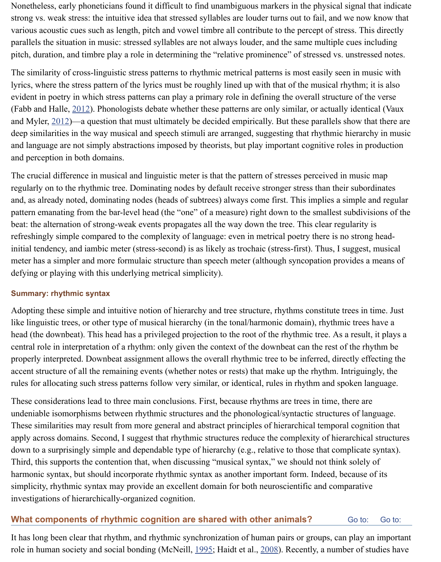and Myler, 2012)—a question that must ultimately be decided empirically. But these parallels show that there are deep similarities in the way musical and speech stimuli are arranged, suggesting that rhythm and language are not simply abstractions imposed by theorists, but play important cognitive and perception in both domains.

The crucial difference in musical and linguistic meter is that the pattern of stresses perceived regularly on to the rhythmic tree. Dominating nodes by default receive stronger stress than the and, as already noted, dominating nodes (heads of subtrees) always come first. This implies pattern emanating from the bar-level head (the "one" of a measure) right down to the smallest beat: the alternation of strong-weak events propagates all the way down the tree. This clear regularity is the unit of the way down the tree. refreshingly sim[ple com](http://www.ncbi.nlm.nih.gov/pmc/articles/PMC3813894/#B27)pared to the complexity of language: even in metrical poetry there is initial tend[ency,](http://www.ncbi.nlm.nih.gov/pmc/articles/PMC3813894/#B135) and iambic meter (stress-second) is as likely as trochaic (stress-first). Thus, meter has a simpler and more formulaic structure than speech meter (although syncopation p defying or playing with this underlying metrical simplicity).

### **Summary: rhythmic syntax**

Adopting these simple and intuitive notion of hierarchy and tree structure, rhythms constitute like linguistic trees, or other type of musical hierarchy (in the tonal/harmonic domain), rhyth head (the downbeat). This head has a privileged projection to the root of the rhythmic tree. As central role in interpretation of a rhythm: only given the context of the downbeat can the rest properly interpreted. Downbeat assignment allows the overall rhythmic tree to be inferred, d accent structure of all the remaining events (whether notes or rests) that make up the rhythm. rules for allocating such stress patterns follow very similar, or identical, rules in rhythm and

These considerations lead to three main conclusions. First, because rhythms are trees in time undeniable isomorphisms between rhythmic structures and the phonological/syntactic structures of language. These similarities may result from more general and abstract principles of hierarchical temporal contains that apply across domains. Second, I suggest that rhythmic structures reduce the complexity of higherarchical structures reduce the complexity of higheral structures reduce the complexity of higheral structures reduce the compl down to a surprisingly simple and dependable type of hierarchy (e.g., relative to those that complement of Third, this supports the contention that, when discussing "musical syntax," we should not think harmonic syntax, but should incorporate rhythmic syntax as another important form. Indeed, simplicity, rhythmic syntax may provide an excellent domain for both neuroscientific and comparative investigations of hierarchically-organized cognition.

# **What components of rhythmic cognition are shared with other animals?**

It has long been clear that rhythm, and rhythmic synchronization of human pairs or groups, can role in human society and social bonding (McNeill, 1995; Haidt et al., 2008). Recently, a number of studies have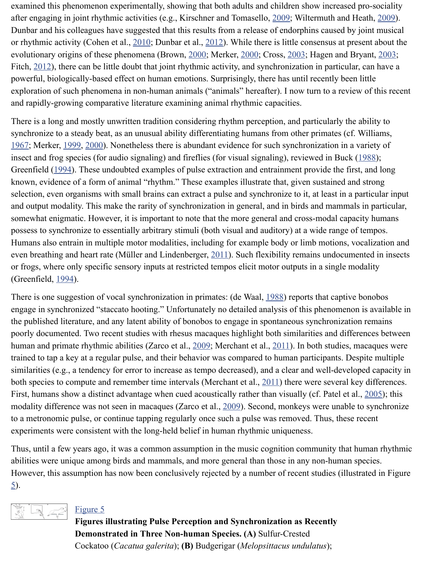There is a long and mostly unwritten tradition considering rhythm perception, and particularly the ability to synchronize to a steady beat, as an unusual ability differentiating humans from other primate 1967; Merker, 1999, 2000). Nonetheless there is abundant evidence for su[ch syn](http://www.ncbi.nlm.nih.gov/pmc/articles/PMC3813894/#B69)chronization insect and frog species (for audio signaling) and fireflies (for visual signaling), reviewed in B Greenfield (1994). These undoubt[ed exa](http://www.ncbi.nlm.nih.gov/pmc/articles/PMC3813894/#B11)mples of puls[e extra](http://www.ncbi.nlm.nih.gov/pmc/articles/PMC3813894/#B24)ction and entrainment provide the first, and longer known, evidence of a form of animal "rhythm." T[hese e](http://www.ncbi.nlm.nih.gov/pmc/articles/PMC3813894/#B5)xamples [illustr](http://www.ncbi.nlm.nih.gov/pmc/articles/PMC3813894/#B92)ate that[, give](http://www.ncbi.nlm.nih.gov/pmc/articles/PMC3813894/#B15)n sustain select[ion, ev](http://www.ncbi.nlm.nih.gov/pmc/articles/PMC3813894/#B32)en organisms with small brains can extract a pulse and synchronize to it, at least and output modality. This make the rarity of synchronization in general, and in birds and ma somewhat enigmatic. However, it is important to note that the more general and cross-modal possess to synchronize to essentially arbitrary stimuli (both visual and auditory) at a wide range of tempos. Humans also entrain in multiple motor modalities, including for example body or limb motions, vocalization and  $\alpha$ even breathing and heart rate (Müller and Lindenberger, 2011). Such flexibility remains und [or fro](http://www.ncbi.nlm.nih.gov/pmc/articles/PMC3813894/#B137)gs, wher[e only](http://www.ncbi.nlm.nih.gov/pmc/articles/PMC3813894/#B91) [specif](http://www.ncbi.nlm.nih.gov/pmc/articles/PMC3813894/#B92)ic sensory inputs at restricted tempos elicit motor outputs in a single (Greenfield, 1994).

There is on[e sugg](http://www.ncbi.nlm.nih.gov/pmc/articles/PMC3813894/#B46)estion of vocal synchronization in primates: (de Waal, 1988) reports that ca engage in synchronized "staccato hooting." Unfortunately no detailed analysis of this phenon the published literature, and any latent ability of bonobos to engage in spontaneous synchron poorly documented. Two recent studies with rhesus macaques highlight both similarities and human and primate rhythmic abilities (Zarco et al., 2009; Merchant et al., 2011). In both studies trained to tap a key at a regular pulse, and their behavior was compared to human participant similarities (e.g., a tendency for error to increase as tempo decreased), and a clear and well-c both species to compute and remember time intervals ([Mercha](http://www.ncbi.nlm.nih.gov/pmc/articles/PMC3813894/#B94)nt et al.,  $2011$ ) there were several key differences. First, humans show a distinct advantage when cued acoustically rather than visually (cf. Patel modality dif[ferenc](http://www.ncbi.nlm.nih.gov/pmc/articles/PMC3813894/#B46)e was not seen in macaques (Zarco et al., 2009). Second, monkeys were un to a metronomic pulse, or continue tapping regularly once such a pulse [was re](http://www.ncbi.nlm.nih.gov/pmc/articles/PMC3813894/#B20)moved. Thus, the experiments were consistent with the long-held belief in human rhythmic uniqueness.

Thus, until a few years ago, it was a common assumption in the music cognition community abilities were unique among birds and mammals, and more general than those in any non-hu However, this assumption has now been conclusiv[ely rej](http://www.ncbi.nlm.nih.gov/pmc/articles/PMC3813894/#B141)ected by a numb[er of r](http://www.ncbi.nlm.nih.gov/pmc/articles/PMC3813894/#B90)ecent studies 5).



# Figure 5

**Figures illustrating Pulse Perception and Synchronization as Recently Demonstrated in Three Non-human Sp[ecies.](http://www.ncbi.nlm.nih.gov/pmc/articles/PMC3813894/#B141) (A)** Sulfur-Crested Cockatoo (*Cacatua galerita*); **(B)** Budgerigar (*Melopsittacus undulatus*);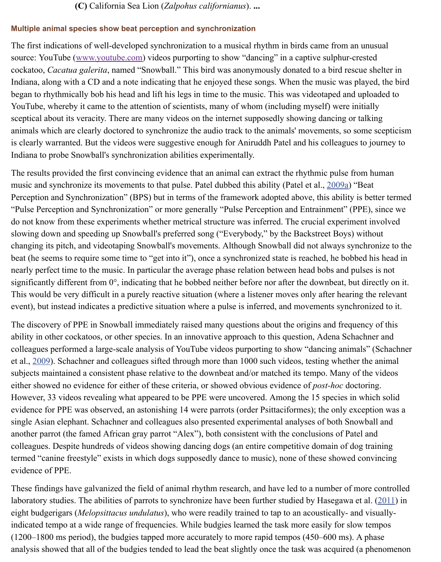animals which are clearly doctored to synchronize the audio track to the animals' movements is clearly warranted. But the videos were suggestive enough for Aniruddh Patel and his colle Indiana to probe Snowball's synchronization abilities experimentally.

The results provided the first convincing evidence that an animal can extract the rhythmic pu music and synchr[onize its movements](http://www.youtube.com/) to that pulse. Patel dubbed this ability (Patel et al., 200 Perception and Synchronization" (BPS) but in terms of the framework adopted above, this all "Pulse Perception and Synchronization" or more generally "Pulse Perception and Entrainme do not know from these experiments whether metrical structure was inferred. The crucial experiments slowing down and speeding up Snowball's preferred song ("Everybody," by the Backstreet E changing its pitch, and videotaping Snowball's movements. Although Snowball did not alwa beat (he seems to require some time to "get into it"), once a synchronized state is reached, he nearly perfect time to the music. In particular the average phase relation between head bobs and pulses is not significantly different from  $0^{\circ}$ , indicating that he bobbed neither before nor after the downbe This would be very difficult in a purely reactive situation (where a listener moves only after event), but instead indicates a predictive situation where a pulse is inferred, and movements

The discovery of PPE in Snowball immediately raised many questions about the origins and ability in other cockatoos, or other species. In an innovative approach to this question, Adena colleagues performed a large-scale analysis of YouTube videos purporting to show "dancing" et al., 2009). Schachner and colleagues sifted through more than 1000 such videos, testing w subjects maintained a consistent phase relative to the downbeat and/or matched its tempo. M either showed no evidence for either of these criteria, or showed obvious evidence of *post-hoc* However, 33 videos revealing what appeared to be PPE were uncovered. Among the 15 spec evidence for PPE was observed, an astonishing 14 were parrots (order Psittaciformes); the only single Asian elephant. Schachner and colleagues also presented experimental analyses of both Snowball and Snowball and Snowball and Snowball and Snowball and Snowball and Snowball and Snowball and Snowball and Snowball and another parrot (the famed African gray parrot "Alex"), both consistent with the conclusions of colleagues. Despite hundreds of videos showing dancing dogs (an entire competitive domain termed "canine freestyle" exists in which dogs supposedly dance to music), none of these show evidence of PPE.

These [findi](http://www.ncbi.nlm.nih.gov/pmc/articles/PMC3813894/#B116)ngs have galvanized the field of animal rhythm research, and have led to a number laboratory studies. The abilities of parrots to synchronize have been further studied by Haseg eight budgerigars (*Melopsittacus undulatus*), who were readily trained to tap to an acoustical indicated tempo at a wide range of frequencies. While budgies learned the task more easily for  $(1200-1800 \text{ ms period})$ , the budgies tapped more accurately to more rapid tempos  $(450-600 \text{ s})$ . analysis showed that all of the budgies tended to lead the beat slightly once the task was acquired (a phenomenon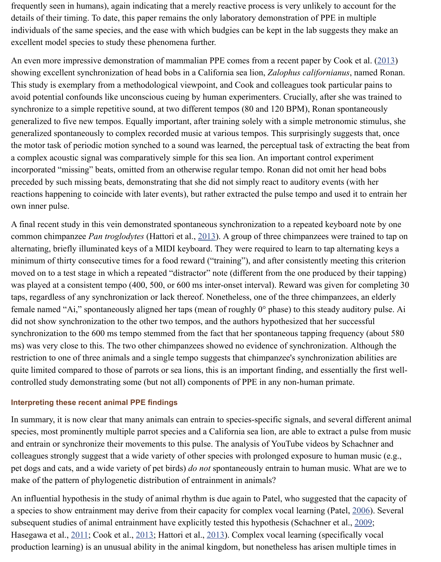generalized to five new tempos. Equally important, after training solely with a simple metronomic stimulus, she generalized spontaneously to complex recorded music at various tempos. This surprisingly s the motor task of periodic motion synched to a sound was learned, the perceptual task of extraction a complex acoustic signal was comparatively simple for this sea lion. An important control experient incorporated "missing" beats, omitted from an otherwise regular tempo. Ronan did not omit p[r](http://www.ncbi.nlm.nih.gov/pmc/articles/PMC3813894/#B12)eceded by such missing beats, demonstrating that she did not simply react to auditory even reactions happening to coincide with later events), but rather extracted the pulse tempo and used it to entry to entrary here it to entrary here it to entry the pulse tempo and used it to entry the metal of the pulse tempo own inner pulse.

A final recent study in this vein demonstrated spontaneous synchronization to a repeated key common chimpanzee *Pan troglodytes* (Hattori et al., 2013). A group of three chimpanzees w alternating, briefly illuminated keys of a MIDI keyboard. They were required to learn to tap minimum of thirty consecutive times for a food reward ("training"), and after consistently m moved on to a test stage in which a repeated "distractor" note (different from the one produc was played at a consistent tempo (400, 500, or 600 ms inter-onset interval). Reward was given taps, regardless of any synchronization or lack thereof. Nonetheless, one of the three chimpa female named "Ai," spontaneously aligned her taps (mean of roughly  $0^{\circ}$  phase) to this steady did not show synchronization to the other two tempos, and the authors hypothesized that her synchronization to the 600 ms tempo stemmed from the fact that her spontaneous tapping frequency ms) was very close to this. The two other chimpanzees showed no evidence of synchronization. restriction to one of three animals and a single temp[o sugg](http://www.ncbi.nlm.nih.gov/pmc/articles/PMC3813894/#B54)ests that chimpanzee's synchronization abilities are quite limited compared to those of parrots or sea lions, this is an important finding, and essentially the first wellcontrolled study demonstrating some (but not all) components of PPE in any non-human primate.

#### **Interpreting these recent animal PPE findings**

In summary, it is now clear that many animals can entrain to species-specific signals, and several different animals and several and several different animals. species, most prominently multiple parrot species and a California sea lion, are able to extract a pulse from multiple parrot species and a California sea lion, are able to extract a pulse for  $\alpha$ . and entrain or synchronize their movements to this pulse. The analysis of YouTube videos by colleagues strongly suggest that a wide variety of other species with prolonged exposure to h pet dogs and cats, and a wide variety of pet birds) *do not* spontaneously entrain to human mu make of the pattern of phylogenetic distribution of entrainment in animals?

An influential hypothesis in the study of animal rhythm is due again to Patel, who suggested a species to show entrainment may derive from their capacity for complex vocal learning (Patel, 2006). subsequent studies of animal entrainment have explicitly tested this hypothesis (Schachner e Hasegawa et al., 2011; Cook et al., 2013; Hattori et al., 2013). Complex vocal learning (spec production learning) is an unusual ability in the animal kingdom, but nonetheless has arisen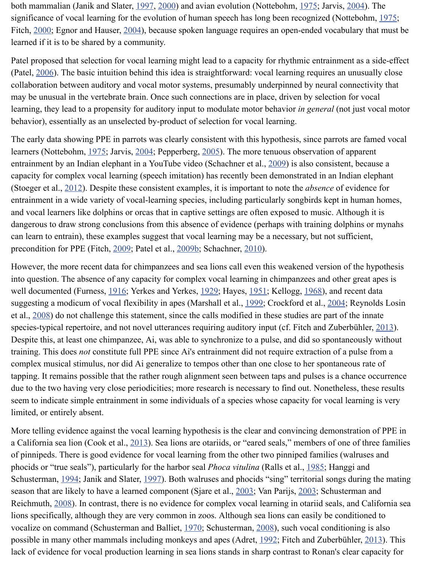The early data showing PPE in par[rots w](http://www.ncbi.nlm.nih.gov/pmc/articles/PMC3813894/#B64)[as clea](http://www.ncbi.nlm.nih.gov/pmc/articles/PMC3813894/#B65)rly consistent with this hypothesis[, sinc](http://www.ncbi.nlm.nih.gov/pmc/articles/PMC3813894/#B95)e parrow learne[rs \(No](http://www.ncbi.nlm.nih.gov/pmc/articles/PMC3813894/#B29)ttebohm, 1975; Jar[vis, 20](http://www.ncbi.nlm.nih.gov/pmc/articles/PMC3813894/#B26)04; Pepperberg, 2005). The more tenuous observation entrainment by an Indian elephant in a YouTube video (Schachner et al., 2009) is also consistent capacity for complex vocal learning (speech imitation) has recently been demonstrated in an (Stoeger et al., 2012). Despite these consistent examples, it is important to note the *absence* entrain[ment](http://www.ncbi.nlm.nih.gov/pmc/articles/PMC3813894/#B98) in a wide variety of vocal-learning species, including particularly songbirds kep and vocal learners like dolphins or orcas that in captive settings are often exposed to music. dangerous to draw strong conclusions from this absence of evidence (perhaps with training domain can learn to entrain), these examples suggest that vocal learning may be a necessary, but not precondition for PPE (Fitch, 2009; Patel et al., 2009b; Schachner, 2010).

However, the more recent data for chimpanzees and sea lions call even this weakened version into question. The ab[sence](http://www.ncbi.nlm.nih.gov/pmc/articles/PMC3813894/#B95) of any [capaci](http://www.ncbi.nlm.nih.gov/pmc/articles/PMC3813894/#B66)ty for compl[ex voc](http://www.ncbi.nlm.nih.gov/pmc/articles/PMC3813894/#B104)al learning in chimpanzees and o well documented (Furness, 1916; Yerkes and Yerkes, 1929; Hayes, 1951[; Kell](http://www.ncbi.nlm.nih.gov/pmc/articles/PMC3813894/#B116)ogg, 1968), an suggesting a modicum of vocal flexibility in apes (Marshall et al., 1999; Crockford et al., 20 et al., 2008) do [not c](http://www.ncbi.nlm.nih.gov/pmc/articles/PMC3813894/#B126)hallenge this statement, since the calls modified in these studies are part species-typical repertoire, and not novel utterances requiring auditory input (cf. Fitch and Zu Despite this, at least one chimpanzee, Ai, was able to synchronize to a pulse, and did so spor training. This does *not* constitute full PPE since Ai's entrainment did not require extraction of complex musical stimulus, nor did Ai generalize to tempos other than one close to her spontaneous tapping. It remains possible [that th](http://www.ncbi.nlm.nih.gov/pmc/articles/PMC3813894/#B31)e rather rou[gh align](http://www.ncbi.nlm.nih.gov/pmc/articles/PMC3813894/#B101)ment seen [betwee](http://www.ncbi.nlm.nih.gov/pmc/articles/PMC3813894/#B115)n taps and pulses is a due to the two having very close periodicities; more research is necessary to find out. Noneth seem to indicate simple entrainment in some individuals of a species whose capacity for voc limited, or entirely absent.

More telling evidence against the vocal learning hypothesis is the [clear](http://www.ncbi.nlm.nih.gov/pmc/articles/PMC3813894/#B86) and convincing d[emons](http://www.ncbi.nlm.nih.gov/pmc/articles/PMC3813894/#B14)tration of PPE in a Cali[fornia](http://www.ncbi.nlm.nih.gov/pmc/articles/PMC3813894/#B112) sea lion (Cook et al.,  $2013$ ). Sea lions are otariids, or "eared seals," members of of pinnipeds. There is good evidence for vocal learning from the other two pinniped families phocids or "true seals"), particularly for the harbor seal *Phoca vitulina* (Ralls et al., 1985; Hanggi and and phoca vituling and phoca vituling and phoca vituling and phoca vituling and phoca vituling and phocal vituling Schusterman, 1994; Janik and Slater, 1997). Both walruses and phocids "sing" territorial son season that are likely to have a learned component (Sjare et al., 2003; Van Parijs, 2003; Schu Reichmuth, 2008). In contrast, there is no evidence for complex vocal learning in otariid sea lions specifically, although they are very common in zoos. Although sea lions can easily be only to the specifically. vocalize on command (Schusterman and Balliet, 1970; Schusterman, 2008), such vocal cond possible in many other mammals including monkeys and apes (Adret, 1992; Fitch and Zuber lack of evidence for vocal production learning in sea lions stands in sharp contrast to Ronan'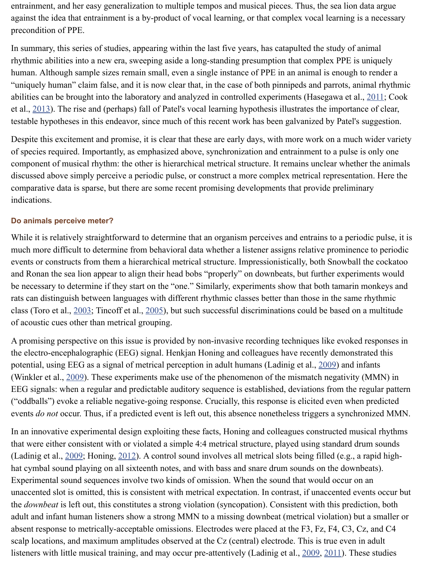testable hypotheses in this endeavor, since much of this recent work has been galvanized by Patel's suggestion.

Despite this excitement and promise, it is clear that these are early days, with more work on of species required. Importantly, as emphasized above, synchronization and entrainment to a component of musical rhythm: the other is hierarchical metrical structure. It remains unclear discussed above simply perceive a periodic pulse, or construct a more complex metrical repr comparative data is sparse, but there are some recent promising developments that provide p indications.

#### **Do animals perceive meter?**

Whil[e it is r](http://www.ncbi.nlm.nih.gov/pmc/articles/PMC3813894/#B12)elatively straightforward to determine that an organism perceives and entrains to much more difficult to determine from behavioral data whether a listener assigns relative prominent events or constructs from them a hierarchical metrical structure. Impressionistically, both Sn and Ronan the sea lion appear to align their head bobs "properly" on downbeats, but further be necessary to determine if they start on the "one." Similarly, experiments show that both tam rats can distinguish between languages with different rhythmic classes better than those in the class (Toro et al.,  $2003$ ; Tincoff et al.,  $2005$ ), but such successful discriminations could be ba of acoustic cues other than metrical grouping.

A promising perspective on this issue is provided by non-invasive recording techniques like the electro-encephalographic (EEG) signal. Henkjan Honing and colleagues have recently demonstrated the electropotential, using EEG as a signal of metrical perception in adult humans (Ladinig et al., 2009) (Winkler et al.,  $2009$ ). These experiments make use of the phenomenon of the mismatch neg EEG signals: when a regular and predictable auditory sequence is established, deviations from ("oddballs") evoke a reliable negative-going response. Crucially, this response is elicited eve events *do not* occur. Thus, if a predicted event is left out, this absence nonetheless triggers a

In an innovative [experi](http://www.ncbi.nlm.nih.gov/pmc/articles/PMC3813894/#B133)mental design [exploi](http://www.ncbi.nlm.nih.gov/pmc/articles/PMC3813894/#B131)ting these facts, Honing and colleagues constructed musical musical regional musical regional regional regional regional regional regional regional regional regional regional regi that were either consistent with or violated a simple 4:4 metrical structure, played using stand (Ladinig et al.,  $2009$ ; Honing,  $2012$ ). A control sound involves all metrical slots being filled hat cymbal sound playing on all sixteenth notes, and with bass and snare drum sounds on the Experimental sound sequences involve two kinds of omission. When the sound that would o u[naccen](http://www.ncbi.nlm.nih.gov/pmc/articles/PMC3813894/#B73)ted slot is omitted, this is consistent with metrical expectation. In contrast, if unaccent the *downbeat* i[s left o](http://www.ncbi.nlm.nih.gov/pmc/articles/PMC3813894/#B139)ut, this constitutes a strong violation (syncopation). Consistent with this adult and infant human listeners show a strong MMN to a missing downbeat (metrical violat absent response to metrically-acceptable omissions. Electrodes were placed at the F3, Fz, F4 scalp locations, and maximum amplitudes observed at the Cz (central) electrode. This is true listeners with little musical training, and may occur pre-attentively (Ladinig et al., 2009, 201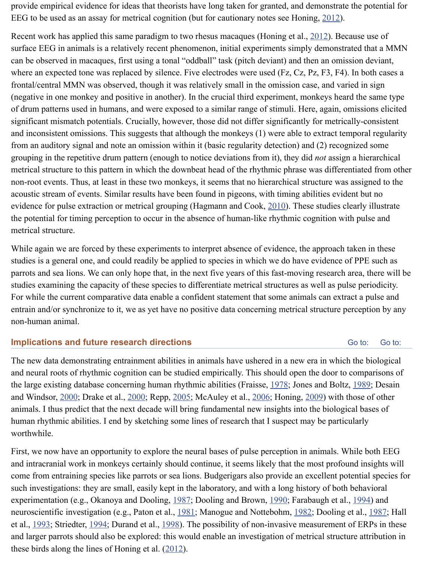significant mismatch potentials. Crucially, however, those did not differ significantly for metrically-consistent and inconsistent omissions. This suggests that although the monkeys  $(1)$  were able to extract from an auditory signal and note an omission within it (basic regularity detection) and ([2\) reco](http://www.ncbi.nlm.nih.gov/pmc/articles/PMC3813894/#B59)gnized some grouping in the repetitive drum pattern (enough to [not](http://www.ncbi.nlm.nih.gov/pmc/articles/PMC3813894/#B60)ice deviations from it), they did *not* assign a hierarchical metrical structure to this pattern in which the downbeat head of the rhythmic phrase was diff non-root events. Thus, at least in these two monkeys, it seems that no hierarchical structure v acoustic stream of events. Similar results have been found in pigeons, with timing abilities ev evidence for pulse extraction or metrical grouping (Hagmann and Cook, 2010). These studie the potential for timing perception to occur in the absence of human-like rhythmic cognition metrical structure.

While again we are forced by these experiments to interpret absence of evidence, the approach taken in the separation. studies is a general one, and could readily be applied to species in which we do have evidence parrots and sea lions. We can only hope that, in the next five years of this fast-moving resear studies examining the capacity of these species to differentiate metrical structures as well as For while the current comparative data enable a confident statement that some animals can extract a pulse a pulse a pulse and pulse a pulse and pulse and pulse and pulse and pulse and pulse and pulse and pulse and pulse an entrain and/or synchronize to it, we as yet have no positive data concerning metrical structure non-human animal.

# **Implications and future research directions**

The new data demonstrating entrainment abilities in animals have ushered in a new era in which the biological and neural roots of rhythmic cognition can be studied empirically. This should open the door the large existing database concerning human rhythmic abilities (Fraisse, 1978; Jones and Bo and Windsor, 2000; Drake et al., 2000; Repp, 2005; McAuley et al., 2006; Honing, 2009) wi animals. I thus predict that the next decade will bring fundamental new insights into the biology human rhythmic abilities. I end by sketching some lines of research that I suspect may be particularly worthwhile.

First, we now have an opportunity to explore the neural bases of pulse perception in animals. and intracranial work in monkeys certainly should continue, it seems likely that the most pro come from entraining species like parrots or sea lions. Budgerigars also provide an excellent such investigations: they are small, easily kept in the laboratory, and with a long history of b experimentation (e.g., Okanoya and Dooling, 1987; Dooling and Brown, 1990; Farabaugh et neuroscientific investigation (e.g., Paton et al., 1981; Manogue and Notte[bohm](http://www.ncbi.nlm.nih.gov/pmc/articles/PMC3813894/#B35), 1982; Dooli et al., 1993; [Striedt](http://www.ncbi.nlm.nih.gov/pmc/articles/PMC3813894/#B19)er, 1994; Dur[and et](http://www.ncbi.nlm.nih.gov/pmc/articles/PMC3813894/#B23) al., 19[98\). T](http://www.ncbi.nlm.nih.gov/pmc/articles/PMC3813894/#B110)he possibility of [non-in](http://www.ncbi.nlm.nih.gov/pmc/articles/PMC3813894/#B88)vasive [measur](http://www.ncbi.nlm.nih.gov/pmc/articles/PMC3813894/#B58)ement and larger parrots should also be explored: this would enable an investigation of metrical structure at the attribution in the attribution in the structure attribution in the structure attribution in the structure attribut these birds along the lines of Honing et al.  $(2012)$ .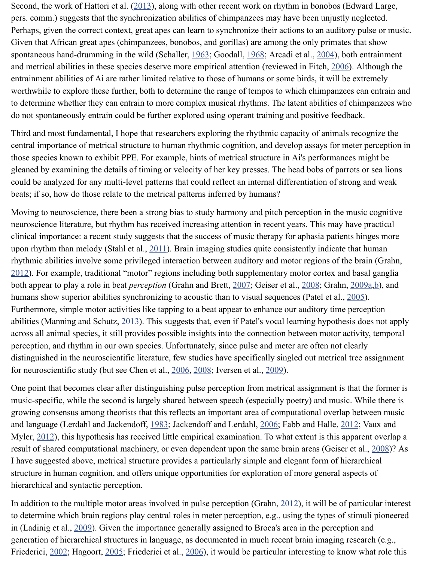Third and most fundamental, I ho[pe that](http://www.ncbi.nlm.nih.gov/pmc/articles/PMC3813894/#B54) researchers exploring the rhythmic capacity of anim central importance of metrical structure to human rhythmic cognition, and develop assays for those species known to exhibit PPE. For example, hints of metrical structure in Ai's performations. gleaned by examining the details of timing or velocity of her key presses. The head bobs of pararots of pararots of pararots of pararots of pararots of pararots of pararots of pararots of pararots of pararots of pararots o [could](http://www.ncbi.nlm.nih.gov/pmc/articles/PMC3813894/#B117) be analyzed for any multi-level patterns that could reflect an [intern](http://www.ncbi.nlm.nih.gov/pmc/articles/PMC3813894/#B41)al differentiat[ion of](http://www.ncbi.nlm.nih.gov/pmc/articles/PMC3813894/#B2) beats; if so, how do those relate to the metrical patterns inferred by humans?

Moving to neuroscience, there been a strong bias to study harmony and pitch perception in the music co neuroscience literature, but rhythm has received increasing attention in recent years. This may clinical importance: a recent study suggests that the success of music therapy for aphasia pat upon rhythm than melody (Stahl et al.,  $2011$ ). Brain imaging studies quite consistently indicate rhythmic abilities involve some privileged interaction between auditory and motor regions of  $2012$ ). For example, traditional "motor" regions including both supplementary motor cortex both appear to play a role in beat *perception* (Grahn and Brett, 2007; Geiser et al., 2008; Gra humans show superior abilities synchronizing to acoustic than to visual sequences (Patel et a Furthermore, simple motor activities like tapping to a beat appear to enhance our auditory time abilities (Manning and Schutz, 2013). This suggests that, even if Patel's vocal learning hypothesis does not apply across all animal species, it still provides possible insights into the connection between moto perception, and rhythm in our own species. Unfortunately, since pulse and meter are often no distinguished in the neuroscientific literature, few studies have specifically singled out metri for neuroscientific study (but see Chen [et al.](http://www.ncbi.nlm.nih.gov/pmc/articles/PMC3813894/#B124), 2006, 2008; Iversen et al., 2009).

One point that becomes clear after distinguishing pulse perception from metrical assignment [music](http://www.ncbi.nlm.nih.gov/pmc/articles/PMC3813894/#B44)-specific, while the second is largely shared between speech (especially poetry) and music. growing consensus among theorists that this reflects an import[ant ar](http://www.ncbi.nlm.nih.gov/pmc/articles/PMC3813894/#B45)ea of computa[tional](http://www.ncbi.nlm.nih.gov/pmc/articles/PMC3813894/#B40) over and language (Lerdahl and Jackendoff, 1983; Jackendoff and Lerdahl, 2006; Fabb and Halle Myler,  $2012$ ), this hypothesis has received little empirical examination. To what extent is this result of shared computational [machi](http://www.ncbi.nlm.nih.gov/pmc/articles/PMC3813894/#B84)nery, or even dependent upon the same brain areas (Gei I have suggested above, metrical structure provides a particularly simple and elegant form of structure in human cognition, and offers unique opportunities for exploration of more general hierarchical and syntactic perception.

In addition to the multiple motor areas invol[ved in](http://www.ncbi.nlm.nih.gov/pmc/articles/PMC3813894/#B8) [pulse](http://www.ncbi.nlm.nih.gov/pmc/articles/PMC3813894/#B9) perception (Grahn,  $2012$ ), it will be to determine which brain regions play central roles in meter perception, e.g., using the types in (Ladinig et al., 2009). Given the importance generally assigned to Broca's area in the perception and generation of hierarchical structures in language, as documented in much recent brain imaging Friederici, 2002; Hagoort, 2005; Fried[erici et](http://www.ncbi.nlm.nih.gov/pmc/articles/PMC3813894/#B77) al., 2006), it would be p[articul](http://www.ncbi.nlm.nih.gov/pmc/articles/PMC3813894/#B63)ar interesting to